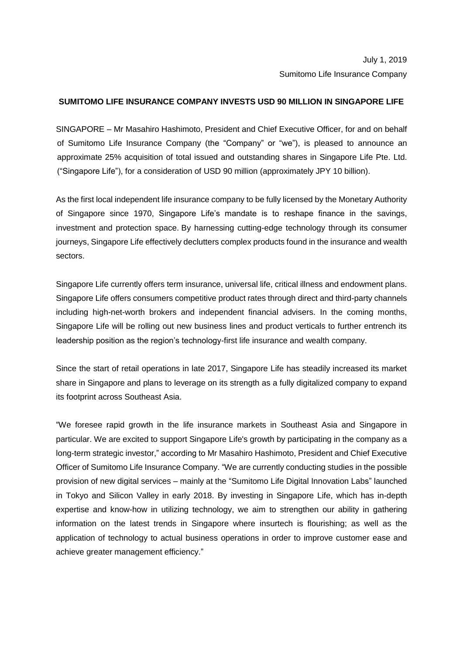# July 1, 2019 Sumitomo Life Insurance Company

## **SUMITOMO LIFE INSURANCE COMPANY INVESTS USD 90 MILLION IN SINGAPORE LIFE**

SINGAPORE – Mr Masahiro Hashimoto, President and Chief Executive Officer, for and on behalf of Sumitomo Life Insurance Company (the "Company" or "we"), is pleased to announce an approximate 25% acquisition of total issued and outstanding shares in Singapore Life Pte. Ltd. ("Singapore Life"), for a consideration of USD 90 million (approximately JPY 10 billion).

As the first local independent life insurance company to be fully licensed by the Monetary Authority of Singapore since 1970, Singapore Life's mandate is to reshape finance in the savings, investment and protection space. By harnessing cutting-edge technology through its consumer journeys, Singapore Life effectively declutters complex products found in the insurance and wealth sectors.

Singapore Life currently offers term insurance, universal life, critical illness and endowment plans. Singapore Life offers consumers competitive product rates through direct and third-party channels including high-net-worth brokers and independent financial advisers. In the coming months, Singapore Life will be rolling out new business lines and product verticals to further entrench its leadership position as the region's technology-first life insurance and wealth company.

Since the start of retail operations in late 2017, Singapore Life has steadily increased its market share in Singapore and plans to leverage on its strength as a fully digitalized company to expand its footprint across Southeast Asia.

"We foresee rapid growth in the life insurance markets in Southeast Asia and Singapore in particular. We are excited to support Singapore Life's growth by participating in the company as a long-term strategic investor," according to Mr Masahiro Hashimoto, President and Chief Executive Officer of Sumitomo Life Insurance Company. "We are currently conducting studies in the possible provision of new digital services – mainly at the "Sumitomo Life Digital Innovation Labs" launched in Tokyo and Silicon Valley in early 2018. By investing in Singapore Life, which has in-depth expertise and know-how in utilizing technology, we aim to strengthen our ability in gathering information on the latest trends in Singapore where insurtech is flourishing; as well as the application of technology to actual business operations in order to improve customer ease and achieve greater management efficiency."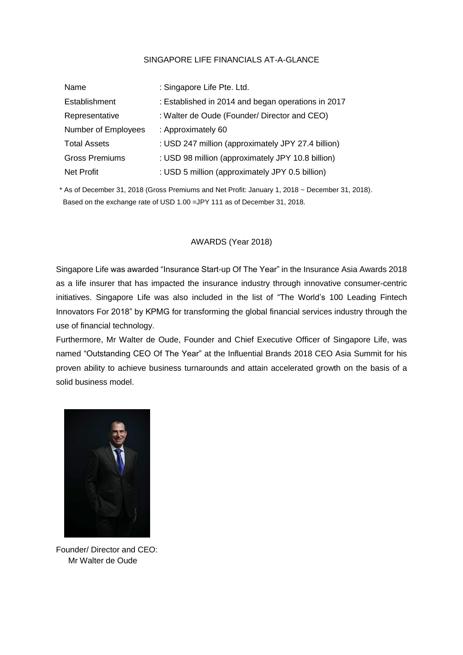#### SINGAPORE LIFE FINANCIALS AT-A-GLANCE

| Name                  | : Singapore Life Pte. Ltd.                         |
|-----------------------|----------------------------------------------------|
| Establishment         | : Established in 2014 and began operations in 2017 |
| Representative        | : Walter de Oude (Founder/ Director and CEO)       |
| Number of Employees   | : Approximately 60                                 |
| <b>Total Assets</b>   | : USD 247 million (approximately JPY 27.4 billion) |
| <b>Gross Premiums</b> | : USD 98 million (approximately JPY 10.8 billion)  |
| <b>Net Profit</b>     | : USD 5 million (approximately JPY 0.5 billion)    |

\* As of December 31, 2018 (Gross Premiums and Net Profit: January 1, 2018 ~ December 31, 2018). Based on the exchange rate of USD 1.00 =JPY 111 as of December 31, 2018.

## AWARDS (Year 2018)

Singapore Life was awarded "Insurance Start-up Of The Year" in the Insurance Asia Awards 2018 as a life insurer that has impacted the insurance industry through innovative consumer-centric initiatives. Singapore Life was also included in the list of "The World's 100 Leading Fintech Innovators For 2018" by KPMG for transforming the global financial services industry through the use of financial technology.

Furthermore, Mr Walter de Oude, Founder and Chief Executive Officer of Singapore Life, was named "Outstanding CEO Of The Year" at the Influential Brands 2018 CEO Asia Summit for his proven ability to achieve business turnarounds and attain accelerated growth on the basis of a solid business model.



Founder/ Director and CEO: Mr Walter de Oude